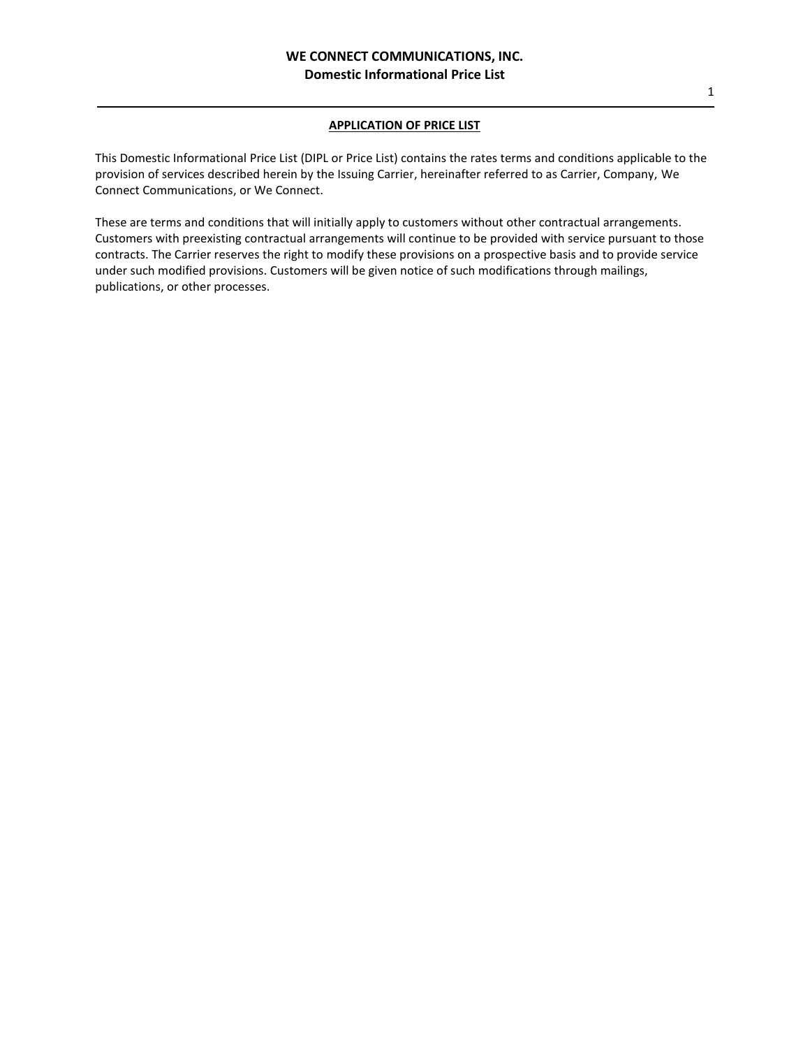# **APPLICATION OF PRICE LIST**

This Domestic Informational Price List (DIPL or Price List) contains the rates terms and conditions applicable to the provision of services described herein by the Issuing Carrier, hereinafter referred to as Carrier, Company, We Connect Communications, or We Connect.

These are terms and conditions that will initially apply to customers without other contractual arrangements. Customers with preexisting contractual arrangements will continue to be provided with service pursuant to those contracts. The Carrier reserves the right to modify these provisions on a prospective basis and to provide service under such modified provisions. Customers will be given notice of such modifications through mailings, publications, or other processes.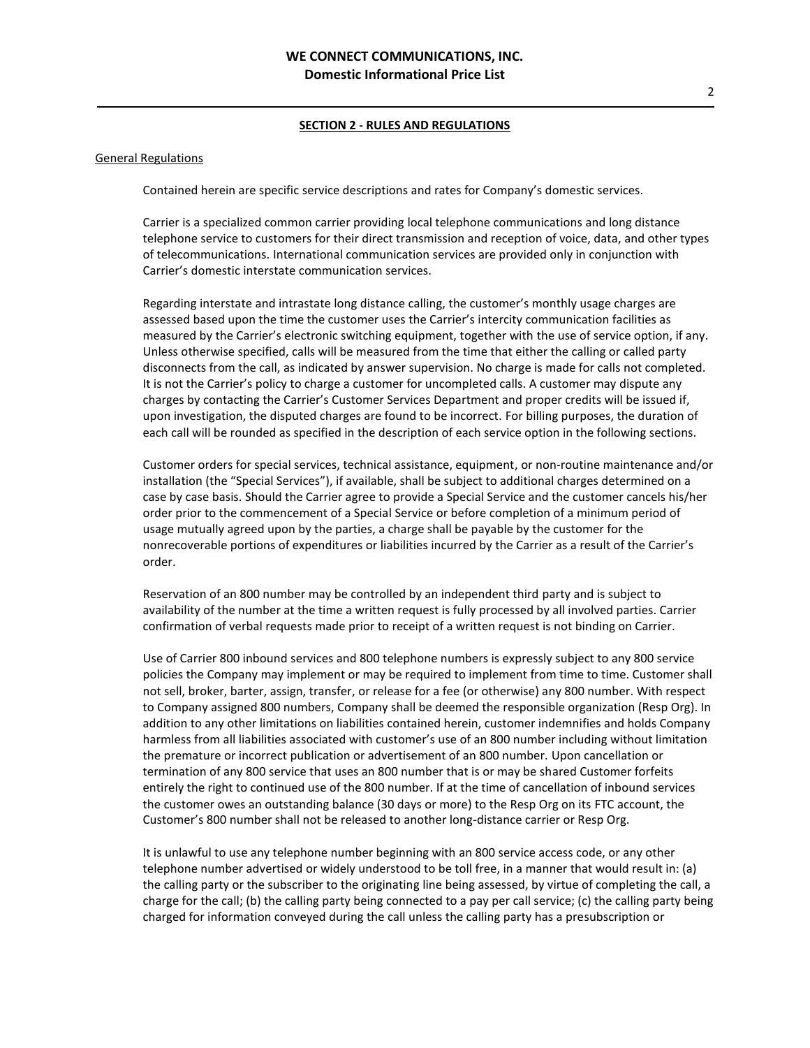#### General Regulations

Contained herein are specific service descriptions and rates for Company's domestic services.

Carrier is a specialized common carrier providing local telephone communications and long distance telephone service to customers for their direct transmission and reception of voice, data, and other types of telecommunications. International communication services are provided only in conjunction with Carrier's domestic interstate communication services.

Regarding interstate and intrastate long distance calling, the customer's monthly usage charges are assessed based upon the time the customer uses the Carrier's intercity communication facilities as measured by the Carrier's electronic switching equipment, together with the use of service option, if any. Unless otherwise specified, calls will be measured from the time that either the calling or called party disconnects from the call, as indicated by answer supervision. No charge is made for calls not completed. It is not the Carrier's policy to charge a customer for uncompleted calls. A customer may dispute any charges by contacting the Carrier's Customer Services Department and proper credits will be issued if, upon investigation, the disputed charges are found to be incorrect. For billing purposes, the duration of each call will be rounded as specified in the description of each service option in the following sections.

Customer orders for special services, technical assistance, equipment, or non-routine maintenance and/or installation (the "Special Services"), if available, shall be subject to additional charges determined on a case by case basis. Should the Carrier agree to provide a Special Service and the customer cancels his/her order prior to the commencement of a Special Service or before completion of a minimum period of usage mutually agreed upon by the parties, a charge shall be payable by the customer for the nonrecoverable portions of expenditures or liabilities incurred by the Carrier as a result of the Carrier's order.

Reservation of an 800 number may be controlled by an independent third party and is subject to availability of the number at the time a written request is fully processed by all involved parties. Carrier confirmation of verbal requests made prior to receipt of a written request is not binding on Carrier.

Use of Carrier 800 inbound services and 800 telephone numbers is expressly subject to any 800 service policies the Company may implement or may be required to implement from time to time. Customer shall not sell, broker, barter, assign, transfer, or release for a fee (or otherwise) any 800 number. With respect to Company assigned 800 numbers, Company shall be deemed the responsible organization (Resp Org). In addition to any other limitations on liabilities contained herein, customer indemnifies and holds Company harmless from all liabilities associated with customer's use of an 800 number including without limitation the premature or incorrect publication or advertisement of an 800 number. Upon cancellation or termination of any 800 service that uses an 800 number that is or may be shared Customer forfeits entirely the right to continued use of the 800 number. If at the time of cancellation of inbound services the customer owes an outstanding balance (30 days or more) to the Resp Org on its FTC account, the Customer's 800 number shall not be released to another long-distance carrier or Resp Org.

It is unlawful to use any telephone number beginning with an 800 service access code, or any other telephone number advertised or widely understood to be toll free, in a manner that would result in: (a) the calling party or the subscriber to the originating line being assessed, by virtue of completing the call, a charge for the call; (b) the calling party being connected to a pay per call service; (c) the calling party being charged for information conveyed during the call unless the calling party has a presubscription or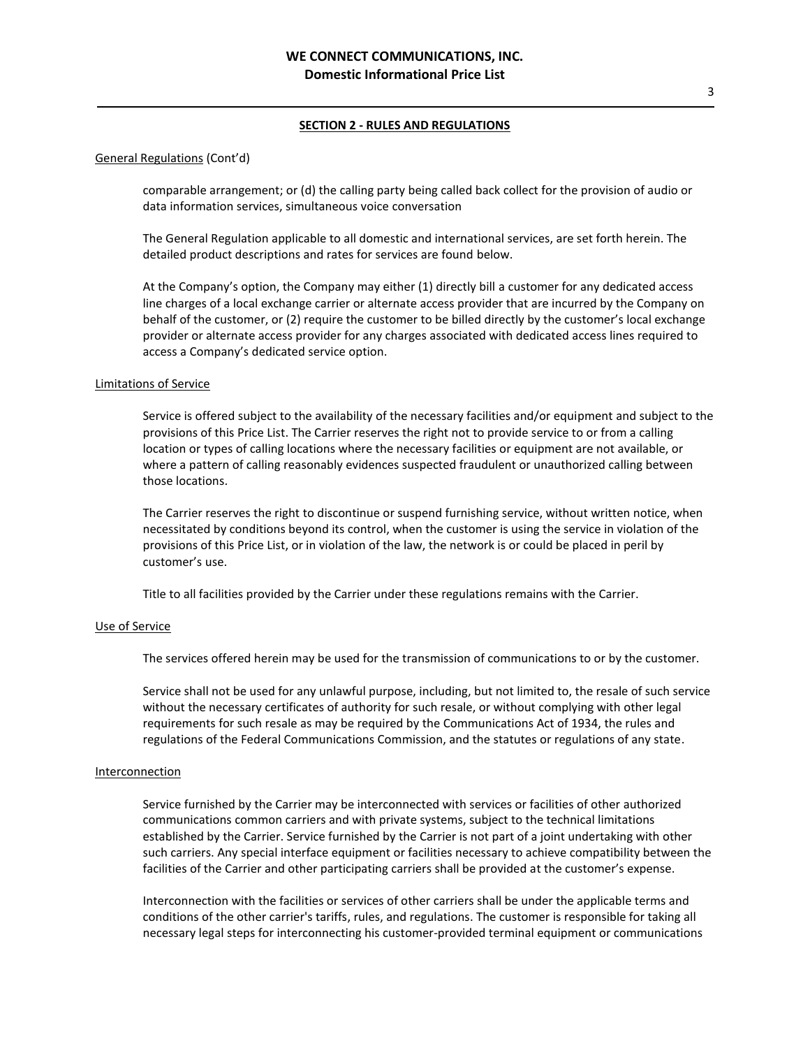#### General Regulations (Cont'd)

comparable arrangement; or (d) the calling party being called back collect for the provision of audio or data information services, simultaneous voice conversation

The General Regulation applicable to all domestic and international services, are set forth herein. The detailed product descriptions and rates for services are found below.

At the Company's option, the Company may either (1) directly bill a customer for any dedicated access line charges of a local exchange carrier or alternate access provider that are incurred by the Company on behalf of the customer, or (2) require the customer to be billed directly by the customer's local exchange provider or alternate access provider for any charges associated with dedicated access lines required to access a Company's dedicated service option.

#### Limitations of Service

Service is offered subject to the availability of the necessary facilities and/or equipment and subject to the provisions of this Price List. The Carrier reserves the right not to provide service to or from a calling location or types of calling locations where the necessary facilities or equipment are not available, or where a pattern of calling reasonably evidences suspected fraudulent or unauthorized calling between those locations.

The Carrier reserves the right to discontinue or suspend furnishing service, without written notice, when necessitated by conditions beyond its control, when the customer is using the service in violation of the provisions of this Price List, or in violation of the law, the network is or could be placed in peril by customer's use.

Title to all facilities provided by the Carrier under these regulations remains with the Carrier.

#### Use of Service

The services offered herein may be used for the transmission of communications to or by the customer.

Service shall not be used for any unlawful purpose, including, but not limited to, the resale of such service without the necessary certificates of authority for such resale, or without complying with other legal requirements for such resale as may be required by the Communications Act of 1934, the rules and regulations of the Federal Communications Commission, and the statutes or regulations of any state.

#### **Interconnection**

Service furnished by the Carrier may be interconnected with services or facilities of other authorized communications common carriers and with private systems, subject to the technical limitations established by the Carrier. Service furnished by the Carrier is not part of a joint undertaking with other such carriers. Any special interface equipment or facilities necessary to achieve compatibility between the facilities of the Carrier and other participating carriers shall be provided at the customer's expense.

Interconnection with the facilities or services of other carriers shall be under the applicable terms and conditions of the other carrier's tariffs, rules, and regulations. The customer is responsible for taking all necessary legal steps for interconnecting his customer-provided terminal equipment or communications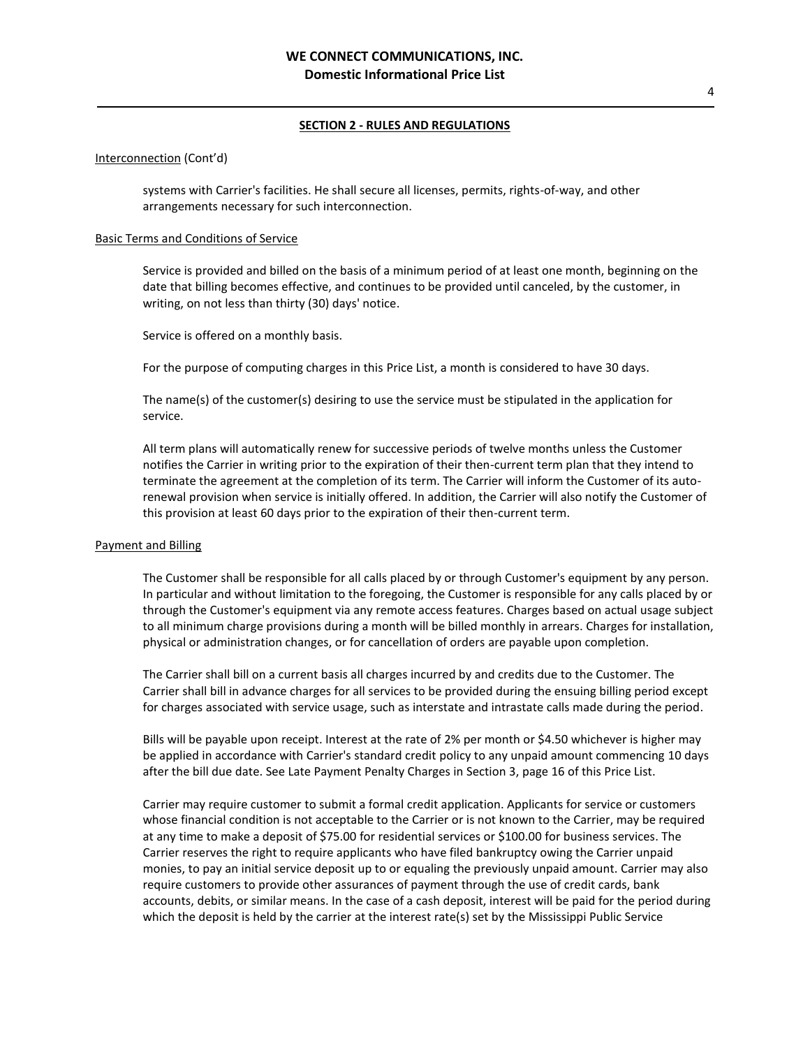### Interconnection (Cont'd)

systems with Carrier's facilities. He shall secure all licenses, permits, rights-of-way, and other arrangements necessary for such interconnection.

## Basic Terms and Conditions of Service

Service is provided and billed on the basis of a minimum period of at least one month, beginning on the date that billing becomes effective, and continues to be provided until canceled, by the customer, in writing, on not less than thirty (30) days' notice.

Service is offered on a monthly basis.

For the purpose of computing charges in this Price List, a month is considered to have 30 days.

The name(s) of the customer(s) desiring to use the service must be stipulated in the application for service.

All term plans will automatically renew for successive periods of twelve months unless the Customer notifies the Carrier in writing prior to the expiration of their then-current term plan that they intend to terminate the agreement at the completion of its term. The Carrier will inform the Customer of its autorenewal provision when service is initially offered. In addition, the Carrier will also notify the Customer of this provision at least 60 days prior to the expiration of their then-current term.

# Payment and Billing

The Customer shall be responsible for all calls placed by or through Customer's equipment by any person. In particular and without limitation to the foregoing, the Customer is responsible for any calls placed by or through the Customer's equipment via any remote access features. Charges based on actual usage subject to all minimum charge provisions during a month will be billed monthly in arrears. Charges for installation, physical or administration changes, or for cancellation of orders are payable upon completion.

The Carrier shall bill on a current basis all charges incurred by and credits due to the Customer. The Carrier shall bill in advance charges for all services to be provided during the ensuing billing period except for charges associated with service usage, such as interstate and intrastate calls made during the period.

Bills will be payable upon receipt. Interest at the rate of 2% per month or \$4.50 whichever is higher may be applied in accordance with Carrier's standard credit policy to any unpaid amount commencing 10 days after the bill due date. See Late Payment Penalty Charges in Section 3, page 16 of this Price List.

Carrier may require customer to submit a formal credit application. Applicants for service or customers whose financial condition is not acceptable to the Carrier or is not known to the Carrier, may be required at any time to make a deposit of \$75.00 for residential services or \$100.00 for business services. The Carrier reserves the right to require applicants who have filed bankruptcy owing the Carrier unpaid monies, to pay an initial service deposit up to or equaling the previously unpaid amount. Carrier may also require customers to provide other assurances of payment through the use of credit cards, bank accounts, debits, or similar means. In the case of a cash deposit, interest will be paid for the period during which the deposit is held by the carrier at the interest rate(s) set by the Mississippi Public Service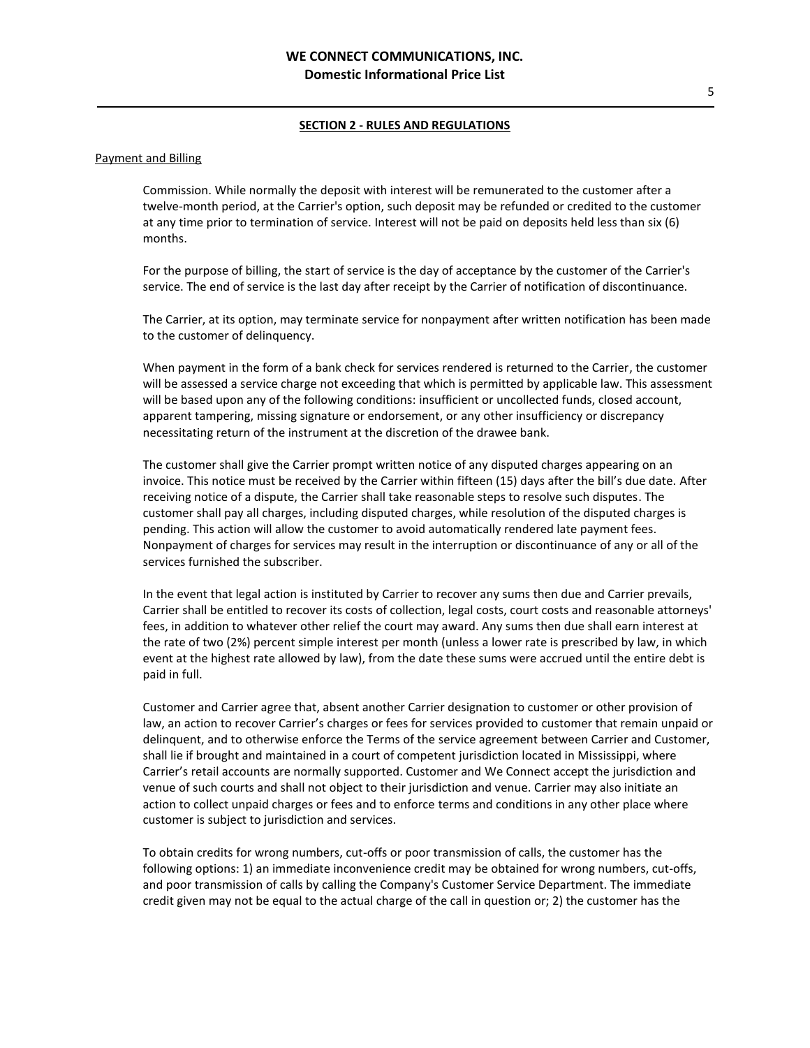#### Payment and Billing

Commission. While normally the deposit with interest will be remunerated to the customer after a twelve-month period, at the Carrier's option, such deposit may be refunded or credited to the customer at any time prior to termination of service. Interest will not be paid on deposits held less than six (6) months.

For the purpose of billing, the start of service is the day of acceptance by the customer of the Carrier's service. The end of service is the last day after receipt by the Carrier of notification of discontinuance.

The Carrier, at its option, may terminate service for nonpayment after written notification has been made to the customer of delinquency.

When payment in the form of a bank check for services rendered is returned to the Carrier, the customer will be assessed a service charge not exceeding that which is permitted by applicable law. This assessment will be based upon any of the following conditions: insufficient or uncollected funds, closed account, apparent tampering, missing signature or endorsement, or any other insufficiency or discrepancy necessitating return of the instrument at the discretion of the drawee bank.

The customer shall give the Carrier prompt written notice of any disputed charges appearing on an invoice. This notice must be received by the Carrier within fifteen (15) days after the bill's due date. After receiving notice of a dispute, the Carrier shall take reasonable steps to resolve such disputes. The customer shall pay all charges, including disputed charges, while resolution of the disputed charges is pending. This action will allow the customer to avoid automatically rendered late payment fees. Nonpayment of charges for services may result in the interruption or discontinuance of any or all of the services furnished the subscriber.

In the event that legal action is instituted by Carrier to recover any sums then due and Carrier prevails, Carrier shall be entitled to recover its costs of collection, legal costs, court costs and reasonable attorneys' fees, in addition to whatever other relief the court may award. Any sums then due shall earn interest at the rate of two (2%) percent simple interest per month (unless a lower rate is prescribed by law, in which event at the highest rate allowed by law), from the date these sums were accrued until the entire debt is paid in full.

Customer and Carrier agree that, absent another Carrier designation to customer or other provision of law, an action to recover Carrier's charges or fees for services provided to customer that remain unpaid or delinquent, and to otherwise enforce the Terms of the service agreement between Carrier and Customer, shall lie if brought and maintained in a court of competent jurisdiction located in Mississippi, where Carrier's retail accounts are normally supported. Customer and We Connect accept the jurisdiction and venue of such courts and shall not object to their jurisdiction and venue. Carrier may also initiate an action to collect unpaid charges or fees and to enforce terms and conditions in any other place where customer is subject to jurisdiction and services.

To obtain credits for wrong numbers, cut-offs or poor transmission of calls, the customer has the following options: 1) an immediate inconvenience credit may be obtained for wrong numbers, cut-offs, and poor transmission of calls by calling the Company's Customer Service Department. The immediate credit given may not be equal to the actual charge of the call in question or; 2) the customer has the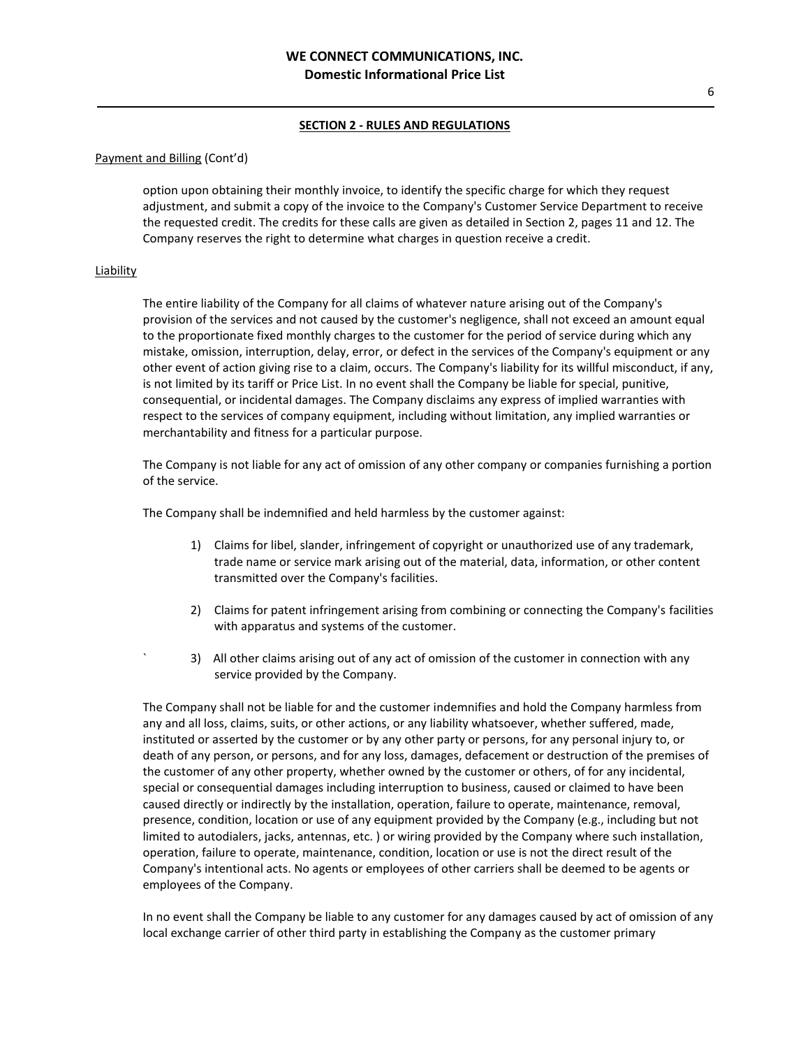## Payment and Billing (Cont'd)

option upon obtaining their monthly invoice, to identify the specific charge for which they request adjustment, and submit a copy of the invoice to the Company's Customer Service Department to receive the requested credit. The credits for these calls are given as detailed in Section 2, pages 11 and 12. The Company reserves the right to determine what charges in question receive a credit.

# **Liability**

The entire liability of the Company for all claims of whatever nature arising out of the Company's provision of the services and not caused by the customer's negligence, shall not exceed an amount equal to the proportionate fixed monthly charges to the customer for the period of service during which any mistake, omission, interruption, delay, error, or defect in the services of the Company's equipment or any other event of action giving rise to a claim, occurs. The Company's liability for its willful misconduct, if any, is not limited by its tariff or Price List. In no event shall the Company be liable for special, punitive, consequential, or incidental damages. The Company disclaims any express of implied warranties with respect to the services of company equipment, including without limitation, any implied warranties or merchantability and fitness for a particular purpose.

The Company is not liable for any act of omission of any other company or companies furnishing a portion of the service.

The Company shall be indemnified and held harmless by the customer against:

- 1) Claims for libel, slander, infringement of copyright or unauthorized use of any trademark, trade name or service mark arising out of the material, data, information, or other content transmitted over the Company's facilities.
- 2) Claims for patent infringement arising from combining or connecting the Company's facilities with apparatus and systems of the customer.
- 3) All other claims arising out of any act of omission of the customer in connection with any service provided by the Company.

The Company shall not be liable for and the customer indemnifies and hold the Company harmless from any and all loss, claims, suits, or other actions, or any liability whatsoever, whether suffered, made, instituted or asserted by the customer or by any other party or persons, for any personal injury to, or death of any person, or persons, and for any loss, damages, defacement or destruction of the premises of the customer of any other property, whether owned by the customer or others, of for any incidental, special or consequential damages including interruption to business, caused or claimed to have been caused directly or indirectly by the installation, operation, failure to operate, maintenance, removal, presence, condition, location or use of any equipment provided by the Company (e.g., including but not limited to autodialers, jacks, antennas, etc. ) or wiring provided by the Company where such installation, operation, failure to operate, maintenance, condition, location or use is not the direct result of the Company's intentional acts. No agents or employees of other carriers shall be deemed to be agents or employees of the Company.

In no event shall the Company be liable to any customer for any damages caused by act of omission of any local exchange carrier of other third party in establishing the Company as the customer primary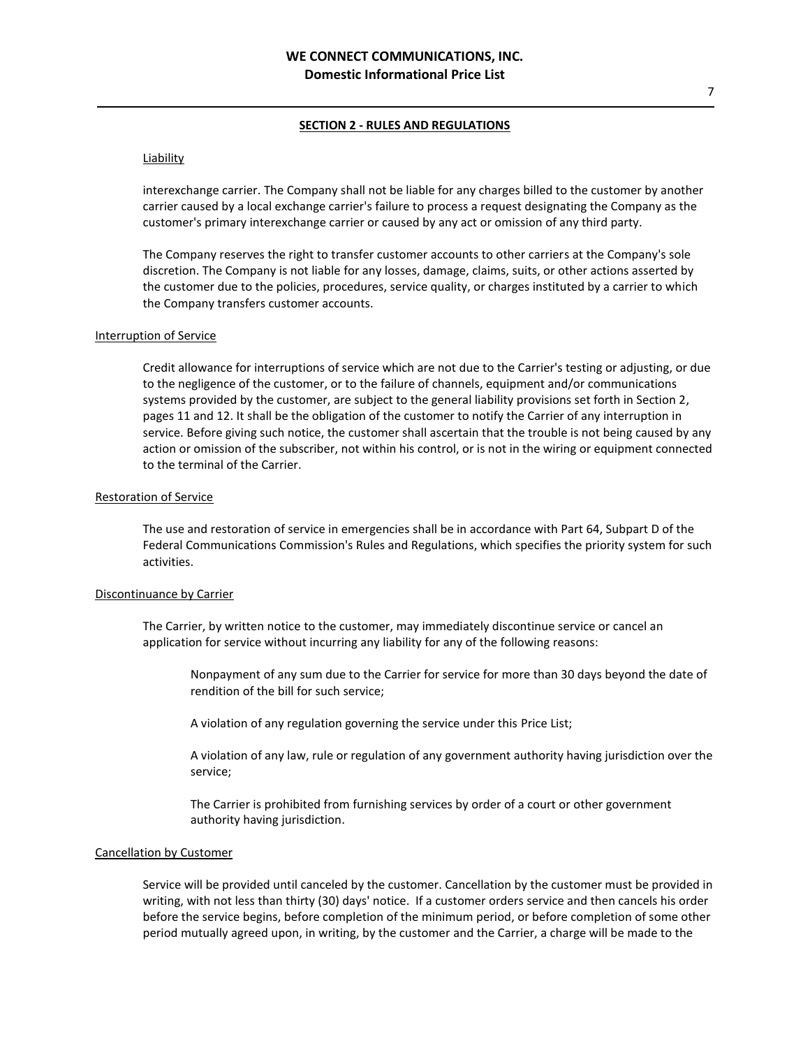# **Liability**

interexchange carrier. The Company shall not be liable for any charges billed to the customer by another carrier caused by a local exchange carrier's failure to process a request designating the Company as the customer's primary interexchange carrier or caused by any act or omission of any third party.

The Company reserves the right to transfer customer accounts to other carriers at the Company's sole discretion. The Company is not liable for any losses, damage, claims, suits, or other actions asserted by the customer due to the policies, procedures, service quality, or charges instituted by a carrier to which the Company transfers customer accounts.

#### Interruption of Service

Credit allowance for interruptions of service which are not due to the Carrier's testing or adjusting, or due to the negligence of the customer, or to the failure of channels, equipment and/or communications systems provided by the customer, are subject to the general liability provisions set forth in Section 2, pages 11 and 12. It shall be the obligation of the customer to notify the Carrier of any interruption in service. Before giving such notice, the customer shall ascertain that the trouble is not being caused by any action or omission of the subscriber, not within his control, or is not in the wiring or equipment connected to the terminal of the Carrier.

## Restoration of Service

The use and restoration of service in emergencies shall be in accordance with Part 64, Subpart D of the Federal Communications Commission's Rules and Regulations, which specifies the priority system for such activities.

#### Discontinuance by Carrier

The Carrier, by written notice to the customer, may immediately discontinue service or cancel an application for service without incurring any liability for any of the following reasons:

Nonpayment of any sum due to the Carrier for service for more than 30 days beyond the date of rendition of the bill for such service;

A violation of any regulation governing the service under this Price List;

A violation of any law, rule or regulation of any government authority having jurisdiction over the service;

The Carrier is prohibited from furnishing services by order of a court or other government authority having jurisdiction.

#### Cancellation by Customer

Service will be provided until canceled by the customer. Cancellation by the customer must be provided in writing, with not less than thirty (30) days' notice. If a customer orders service and then cancels his order before the service begins, before completion of the minimum period, or before completion of some other period mutually agreed upon, in writing, by the customer and the Carrier, a charge will be made to the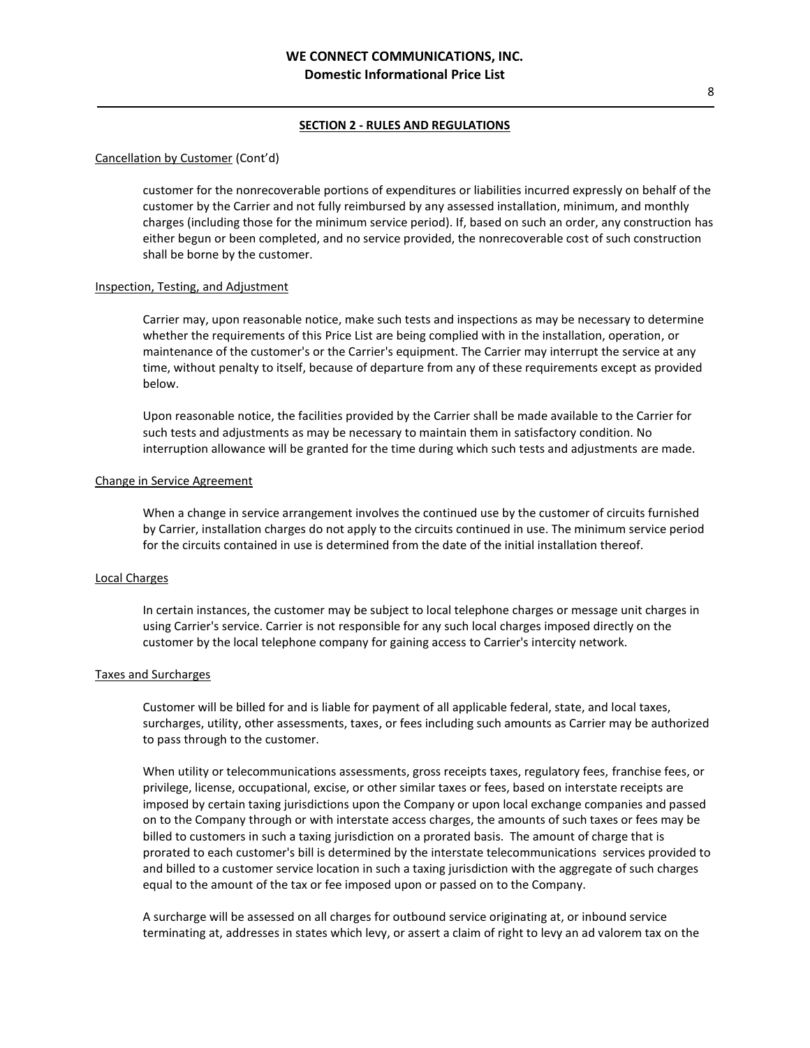#### Cancellation by Customer (Cont'd)

customer for the nonrecoverable portions of expenditures or liabilities incurred expressly on behalf of the customer by the Carrier and not fully reimbursed by any assessed installation, minimum, and monthly charges (including those for the minimum service period). If, based on such an order, any construction has either begun or been completed, and no service provided, the nonrecoverable cost of such construction shall be borne by the customer.

#### Inspection, Testing, and Adjustment

Carrier may, upon reasonable notice, make such tests and inspections as may be necessary to determine whether the requirements of this Price List are being complied with in the installation, operation, or maintenance of the customer's or the Carrier's equipment. The Carrier may interrupt the service at any time, without penalty to itself, because of departure from any of these requirements except as provided below.

Upon reasonable notice, the facilities provided by the Carrier shall be made available to the Carrier for such tests and adjustments as may be necessary to maintain them in satisfactory condition. No interruption allowance will be granted for the time during which such tests and adjustments are made.

#### Change in Service Agreement

When a change in service arrangement involves the continued use by the customer of circuits furnished by Carrier, installation charges do not apply to the circuits continued in use. The minimum service period for the circuits contained in use is determined from the date of the initial installation thereof.

#### Local Charges

In certain instances, the customer may be subject to local telephone charges or message unit charges in using Carrier's service. Carrier is not responsible for any such local charges imposed directly on the customer by the local telephone company for gaining access to Carrier's intercity network.

## Taxes and Surcharges

Customer will be billed for and is liable for payment of all applicable federal, state, and local taxes, surcharges, utility, other assessments, taxes, or fees including such amounts as Carrier may be authorized to pass through to the customer.

When utility or telecommunications assessments, gross receipts taxes, regulatory fees, franchise fees, or privilege, license, occupational, excise, or other similar taxes or fees, based on interstate receipts are imposed by certain taxing jurisdictions upon the Company or upon local exchange companies and passed on to the Company through or with interstate access charges, the amounts of such taxes or fees may be billed to customers in such a taxing jurisdiction on a prorated basis. The amount of charge that is prorated to each customer's bill is determined by the interstate telecommunications services provided to and billed to a customer service location in such a taxing jurisdiction with the aggregate of such charges equal to the amount of the tax or fee imposed upon or passed on to the Company.

A surcharge will be assessed on all charges for outbound service originating at, or inbound service terminating at, addresses in states which levy, or assert a claim of right to levy an ad valorem tax on the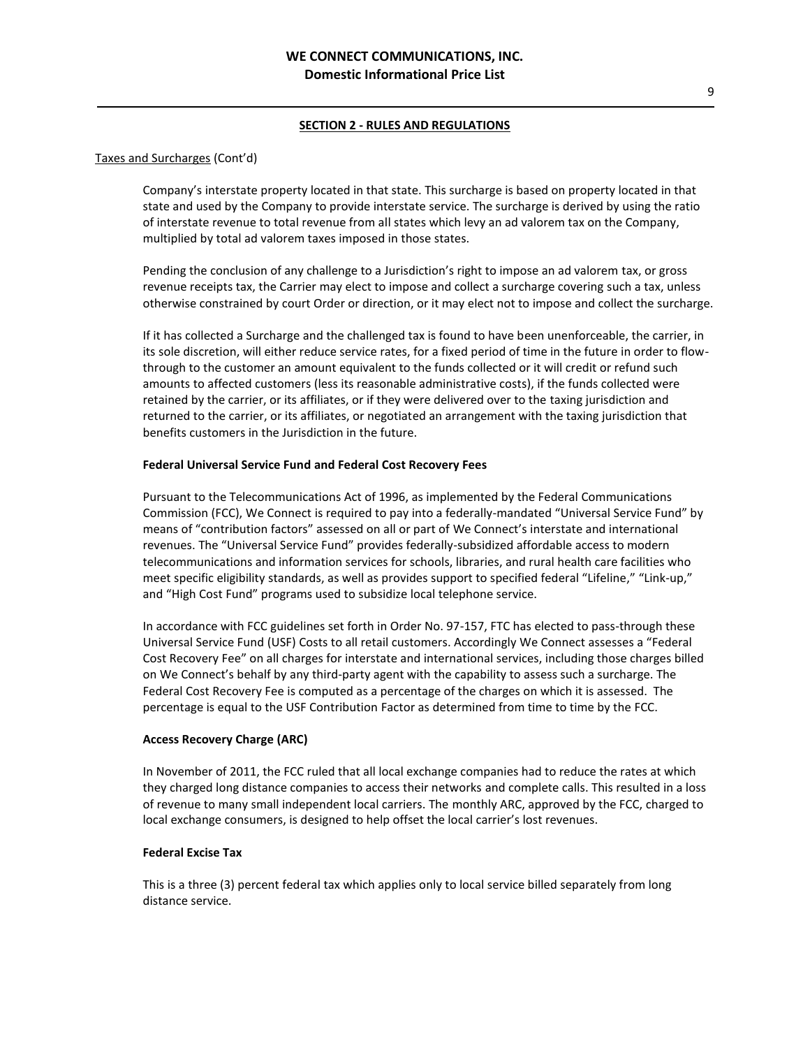# Taxes and Surcharges (Cont'd)

Company's interstate property located in that state. This surcharge is based on property located in that state and used by the Company to provide interstate service. The surcharge is derived by using the ratio of interstate revenue to total revenue from all states which levy an ad valorem tax on the Company, multiplied by total ad valorem taxes imposed in those states.

Pending the conclusion of any challenge to a Jurisdiction's right to impose an ad valorem tax, or gross revenue receipts tax, the Carrier may elect to impose and collect a surcharge covering such a tax, unless otherwise constrained by court Order or direction, or it may elect not to impose and collect the surcharge.

If it has collected a Surcharge and the challenged tax is found to have been unenforceable, the carrier, in its sole discretion, will either reduce service rates, for a fixed period of time in the future in order to flowthrough to the customer an amount equivalent to the funds collected or it will credit or refund such amounts to affected customers (less its reasonable administrative costs), if the funds collected were retained by the carrier, or its affiliates, or if they were delivered over to the taxing jurisdiction and returned to the carrier, or its affiliates, or negotiated an arrangement with the taxing jurisdiction that benefits customers in the Jurisdiction in the future.

## **Federal Universal Service Fund and Federal Cost Recovery Fees**

Pursuant to the Telecommunications Act of 1996, as implemented by the Federal Communications Commission (FCC), We Connect is required to pay into a federally-mandated "Universal Service Fund" by means of "contribution factors" assessed on all or part of We Connect's interstate and international revenues. The "Universal Service Fund" provides federally-subsidized affordable access to modern telecommunications and information services for schools, libraries, and rural health care facilities who meet specific eligibility standards, as well as provides support to specified federal "Lifeline," "Link-up," and "High Cost Fund" programs used to subsidize local telephone service.

In accordance with FCC guidelines set forth in Order No. 97-157, FTC has elected to pass-through these Universal Service Fund (USF) Costs to all retail customers. Accordingly We Connect assesses a "Federal Cost Recovery Fee" on all charges for interstate and international services, including those charges billed on We Connect's behalf by any third-party agent with the capability to assess such a surcharge. The Federal Cost Recovery Fee is computed as a percentage of the charges on which it is assessed. The percentage is equal to the USF Contribution Factor as determined from time to time by the FCC.

## **Access Recovery Charge (ARC)**

In November of 2011, the FCC ruled that all local exchange companies had to reduce the rates at which they charged long distance companies to access their networks and complete calls. This resulted in a loss of revenue to many small independent local carriers. The monthly ARC, approved by the FCC, charged to local exchange consumers, is designed to help offset the local carrier's lost revenues.

## **Federal Excise Tax**

This is a three (3) percent federal tax which applies only to local service billed separately from long distance service.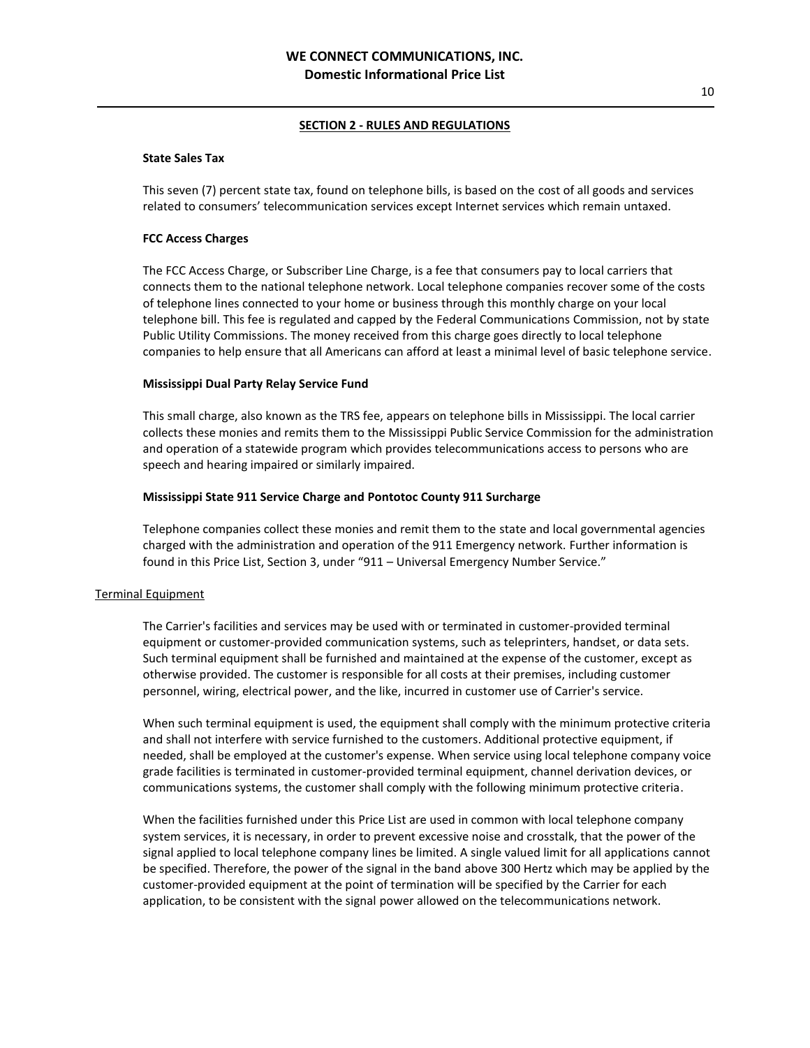#### **State Sales Tax**

This seven (7) percent state tax, found on telephone bills, is based on the cost of all goods and services related to consumers' telecommunication services except Internet services which remain untaxed.

# **FCC Access Charges**

The FCC Access Charge, or Subscriber Line Charge, is a fee that consumers pay to local carriers that connects them to the national telephone network. Local telephone companies recover some of the costs of telephone lines connected to your home or business through this monthly charge on your local telephone bill. This fee is regulated and capped by the Federal Communications Commission, not by state Public Utility Commissions. The money received from this charge goes directly to local telephone companies to help ensure that all Americans can afford at least a minimal level of basic telephone service.

#### **Mississippi Dual Party Relay Service Fund**

This small charge, also known as the TRS fee, appears on telephone bills in Mississippi. The local carrier collects these monies and remits them to the Mississippi Public Service Commission for the administration and operation of a statewide program which provides telecommunications access to persons who are speech and hearing impaired or similarly impaired.

#### **Mississippi State 911 Service Charge and Pontotoc County 911 Surcharge**

Telephone companies collect these monies and remit them to the state and local governmental agencies charged with the administration and operation of the 911 Emergency network. Further information is found in this Price List, Section 3, under "911 – Universal Emergency Number Service."

## Terminal Equipment

The Carrier's facilities and services may be used with or terminated in customer-provided terminal equipment or customer-provided communication systems, such as teleprinters, handset, or data sets. Such terminal equipment shall be furnished and maintained at the expense of the customer, except as otherwise provided. The customer is responsible for all costs at their premises, including customer personnel, wiring, electrical power, and the like, incurred in customer use of Carrier's service.

When such terminal equipment is used, the equipment shall comply with the minimum protective criteria and shall not interfere with service furnished to the customers. Additional protective equipment, if needed, shall be employed at the customer's expense. When service using local telephone company voice grade facilities is terminated in customer-provided terminal equipment, channel derivation devices, or communications systems, the customer shall comply with the following minimum protective criteria.

When the facilities furnished under this Price List are used in common with local telephone company system services, it is necessary, in order to prevent excessive noise and crosstalk, that the power of the signal applied to local telephone company lines be limited. A single valued limit for all applications cannot be specified. Therefore, the power of the signal in the band above 300 Hertz which may be applied by the customer-provided equipment at the point of termination will be specified by the Carrier for each application, to be consistent with the signal power allowed on the telecommunications network.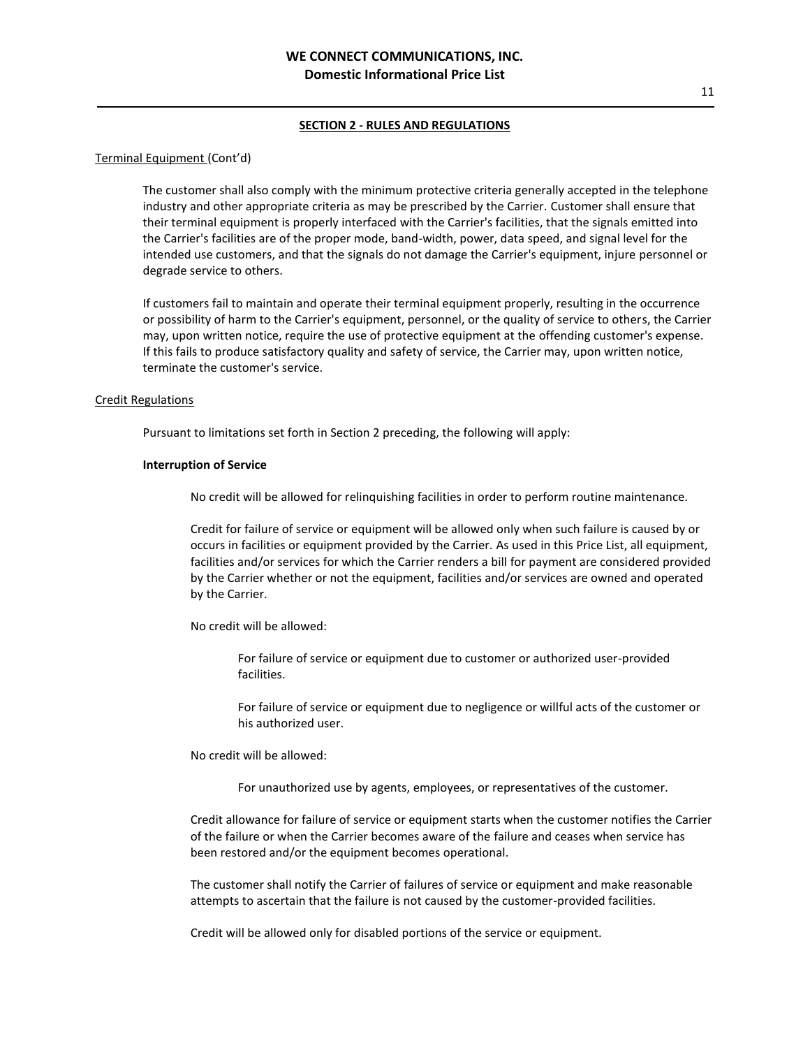#### Terminal Equipment (Cont'd)

The customer shall also comply with the minimum protective criteria generally accepted in the telephone industry and other appropriate criteria as may be prescribed by the Carrier. Customer shall ensure that their terminal equipment is properly interfaced with the Carrier's facilities, that the signals emitted into the Carrier's facilities are of the proper mode, band-width, power, data speed, and signal level for the intended use customers, and that the signals do not damage the Carrier's equipment, injure personnel or degrade service to others.

If customers fail to maintain and operate their terminal equipment properly, resulting in the occurrence or possibility of harm to the Carrier's equipment, personnel, or the quality of service to others, the Carrier may, upon written notice, require the use of protective equipment at the offending customer's expense. If this fails to produce satisfactory quality and safety of service, the Carrier may, upon written notice, terminate the customer's service.

#### Credit Regulations

Pursuant to limitations set forth in Section 2 preceding, the following will apply:

#### **Interruption of Service**

No credit will be allowed for relinquishing facilities in order to perform routine maintenance.

Credit for failure of service or equipment will be allowed only when such failure is caused by or occurs in facilities or equipment provided by the Carrier. As used in this Price List, all equipment, facilities and/or services for which the Carrier renders a bill for payment are considered provided by the Carrier whether or not the equipment, facilities and/or services are owned and operated by the Carrier.

No credit will be allowed:

For failure of service or equipment due to customer or authorized user-provided facilities.

For failure of service or equipment due to negligence or willful acts of the customer or his authorized user.

No credit will be allowed:

For unauthorized use by agents, employees, or representatives of the customer.

Credit allowance for failure of service or equipment starts when the customer notifies the Carrier of the failure or when the Carrier becomes aware of the failure and ceases when service has been restored and/or the equipment becomes operational.

The customer shall notify the Carrier of failures of service or equipment and make reasonable attempts to ascertain that the failure is not caused by the customer-provided facilities.

Credit will be allowed only for disabled portions of the service or equipment.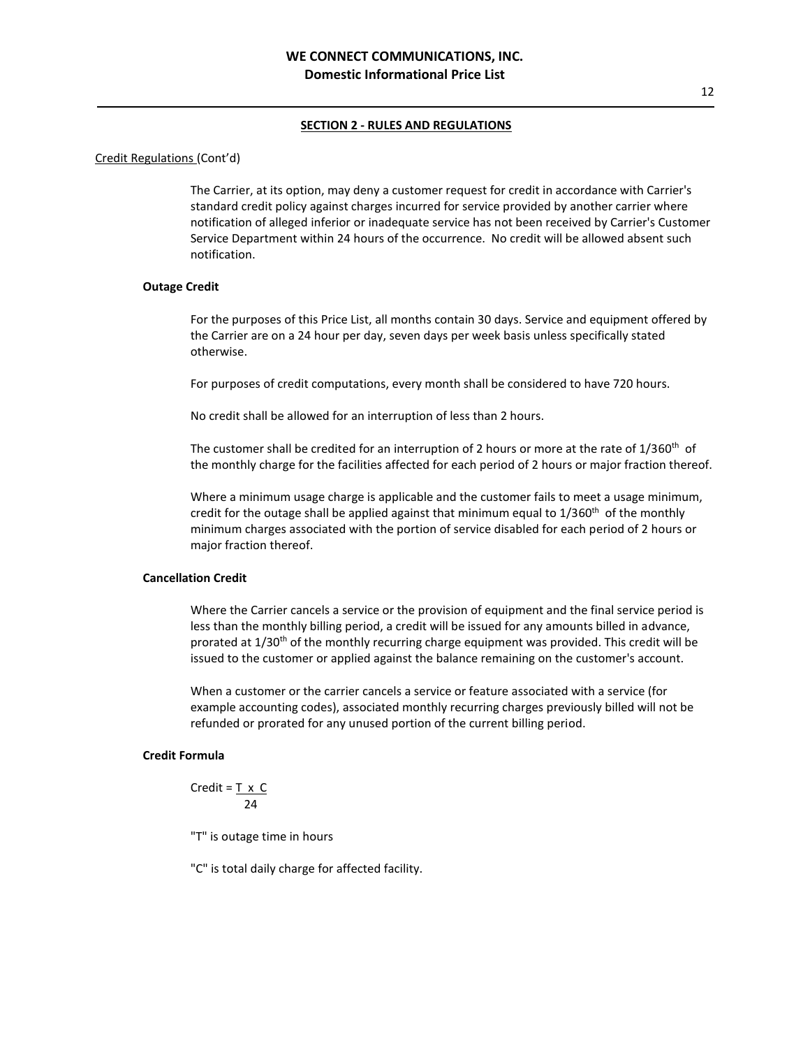## Credit Regulations (Cont'd)

The Carrier, at its option, may deny a customer request for credit in accordance with Carrier's standard credit policy against charges incurred for service provided by another carrier where notification of alleged inferior or inadequate service has not been received by Carrier's Customer Service Department within 24 hours of the occurrence. No credit will be allowed absent such notification.

#### **Outage Credit**

For the purposes of this Price List, all months contain 30 days. Service and equipment offered by the Carrier are on a 24 hour per day, seven days per week basis unless specifically stated otherwise.

For purposes of credit computations, every month shall be considered to have 720 hours.

No credit shall be allowed for an interruption of less than 2 hours.

The customer shall be credited for an interruption of 2 hours or more at the rate of  $1/360<sup>th</sup>$  of the monthly charge for the facilities affected for each period of 2 hours or major fraction thereof.

Where a minimum usage charge is applicable and the customer fails to meet a usage minimum, credit for the outage shall be applied against that minimum equal to 1/360<sup>th</sup> of the monthly minimum charges associated with the portion of service disabled for each period of 2 hours or major fraction thereof.

# **Cancellation Credit**

Where the Carrier cancels a service or the provision of equipment and the final service period is less than the monthly billing period, a credit will be issued for any amounts billed in advance, prorated at  $1/30<sup>th</sup>$  of the monthly recurring charge equipment was provided. This credit will be issued to the customer or applied against the balance remaining on the customer's account.

When a customer or the carrier cancels a service or feature associated with a service (for example accounting codes), associated monthly recurring charges previously billed will not be refunded or prorated for any unused portion of the current billing period.

# **Credit Formula**

Credit =  $T \times C$ 24

"T" is outage time in hours

"C" is total daily charge for affected facility.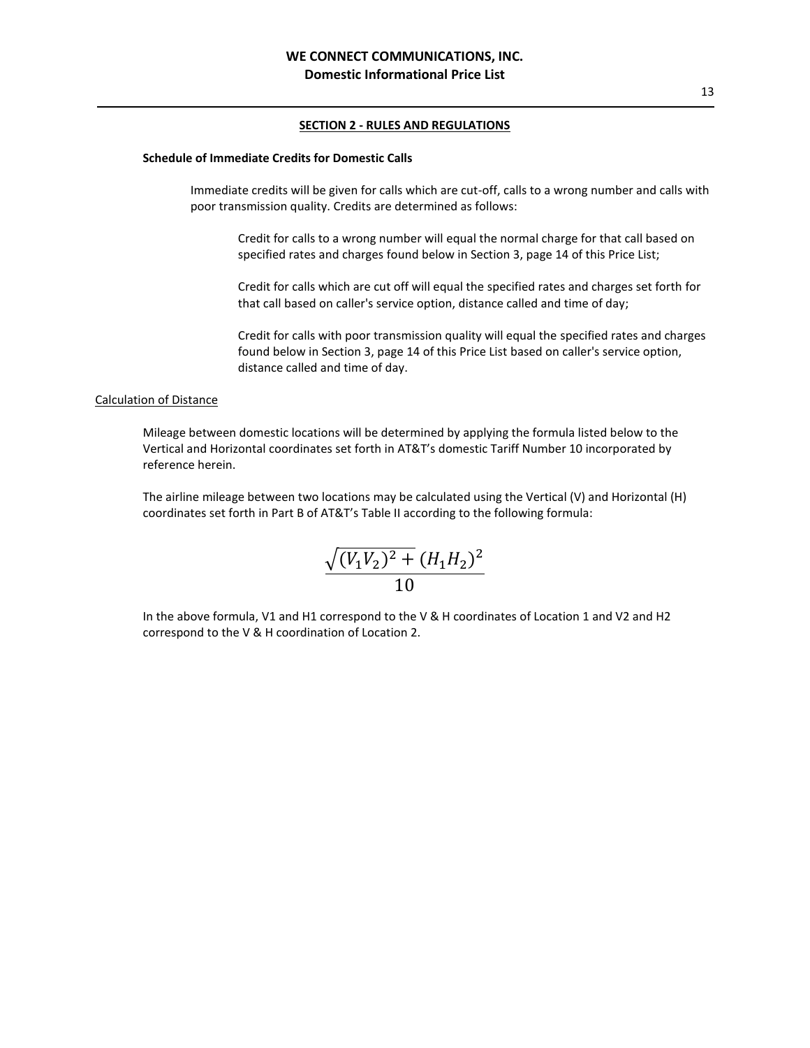#### **Schedule of Immediate Credits for Domestic Calls**

Immediate credits will be given for calls which are cut-off, calls to a wrong number and calls with poor transmission quality. Credits are determined as follows:

Credit for calls to a wrong number will equal the normal charge for that call based on specified rates and charges found below in Section 3, page 14 of this Price List;

Credit for calls which are cut off will equal the specified rates and charges set forth for that call based on caller's service option, distance called and time of day;

Credit for calls with poor transmission quality will equal the specified rates and charges found below in Section 3, page 14 of this Price List based on caller's service option, distance called and time of day.

# Calculation of Distance

Mileage between domestic locations will be determined by applying the formula listed below to the Vertical and Horizontal coordinates set forth in AT&T's domestic Tariff Number 10 incorporated by reference herein.

The airline mileage between two locations may be calculated using the Vertical (V) and Horizontal (H) coordinates set forth in Part B of AT&T's Table II according to the following formula:

$$
\frac{\sqrt{(V_1 V_2)^2 + (H_1 H_2)^2}}{10}
$$

In the above formula, V1 and H1 correspond to the V & H coordinates of Location 1 and V2 and H2 correspond to the V & H coordination of Location 2.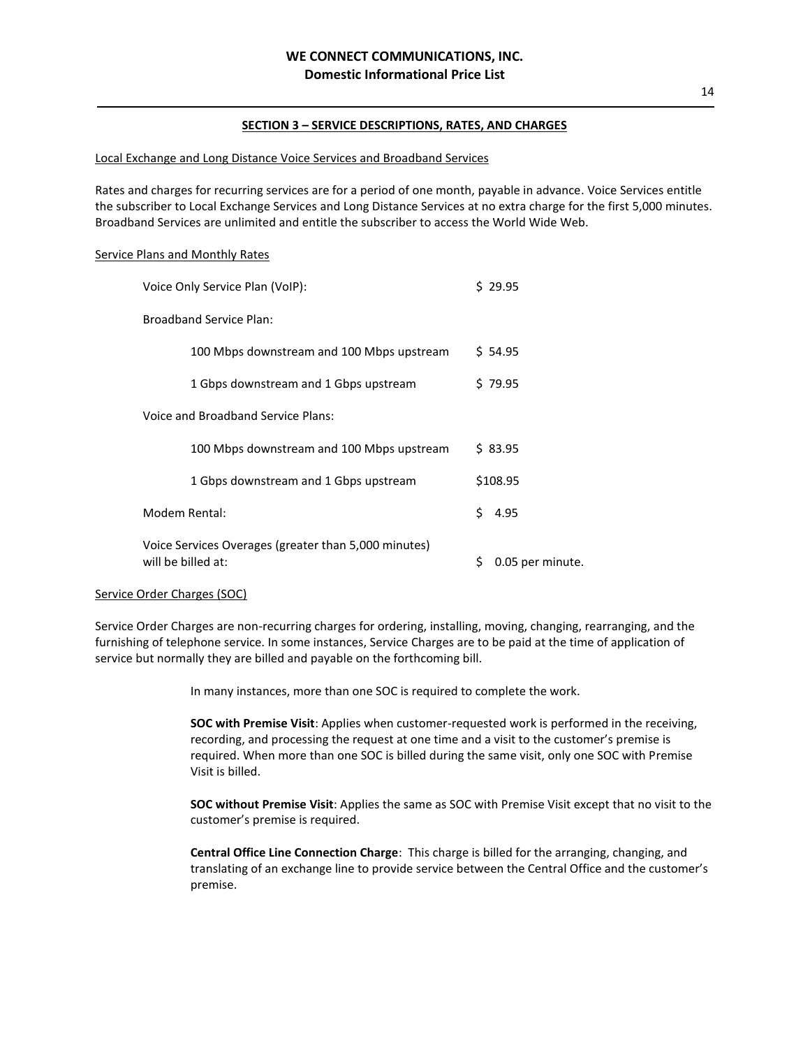### Local Exchange and Long Distance Voice Services and Broadband Services

Rates and charges for recurring services are for a period of one month, payable in advance. Voice Services entitle the subscriber to Local Exchange Services and Long Distance Services at no extra charge for the first 5,000 minutes. Broadband Services are unlimited and entitle the subscriber to access the World Wide Web.

### Service Plans and Monthly Rates

|                                                                            | Voice Only Service Plan (VoIP):           |    | \$29.95          |  |
|----------------------------------------------------------------------------|-------------------------------------------|----|------------------|--|
|                                                                            | <b>Broadband Service Plan:</b>            |    |                  |  |
|                                                                            | 100 Mbps downstream and 100 Mbps upstream |    | \$ 54.95         |  |
|                                                                            | 1 Gbps downstream and 1 Gbps upstream     |    | \$79.95          |  |
|                                                                            | Voice and Broadband Service Plans:        |    |                  |  |
|                                                                            | 100 Mbps downstream and 100 Mbps upstream |    | \$83.95          |  |
|                                                                            | 1 Gbps downstream and 1 Gbps upstream     |    | \$108.95         |  |
|                                                                            | Modem Rental:                             | Ś. | 4.95             |  |
| Voice Services Overages (greater than 5,000 minutes)<br>will be billed at: |                                           | \$ | 0.05 per minute. |  |

#### Service Order Charges (SOC)

Service Order Charges are non-recurring charges for ordering, installing, moving, changing, rearranging, and the furnishing of telephone service. In some instances, Service Charges are to be paid at the time of application of service but normally they are billed and payable on the forthcoming bill.

In many instances, more than one SOC is required to complete the work.

**SOC with Premise Visit**: Applies when customer-requested work is performed in the receiving, recording, and processing the request at one time and a visit to the customer's premise is required. When more than one SOC is billed during the same visit, only one SOC with Premise Visit is billed.

**SOC without Premise Visit**: Applies the same as SOC with Premise Visit except that no visit to the customer's premise is required.

**Central Office Line Connection Charge**: This charge is billed for the arranging, changing, and translating of an exchange line to provide service between the Central Office and the customer's premise.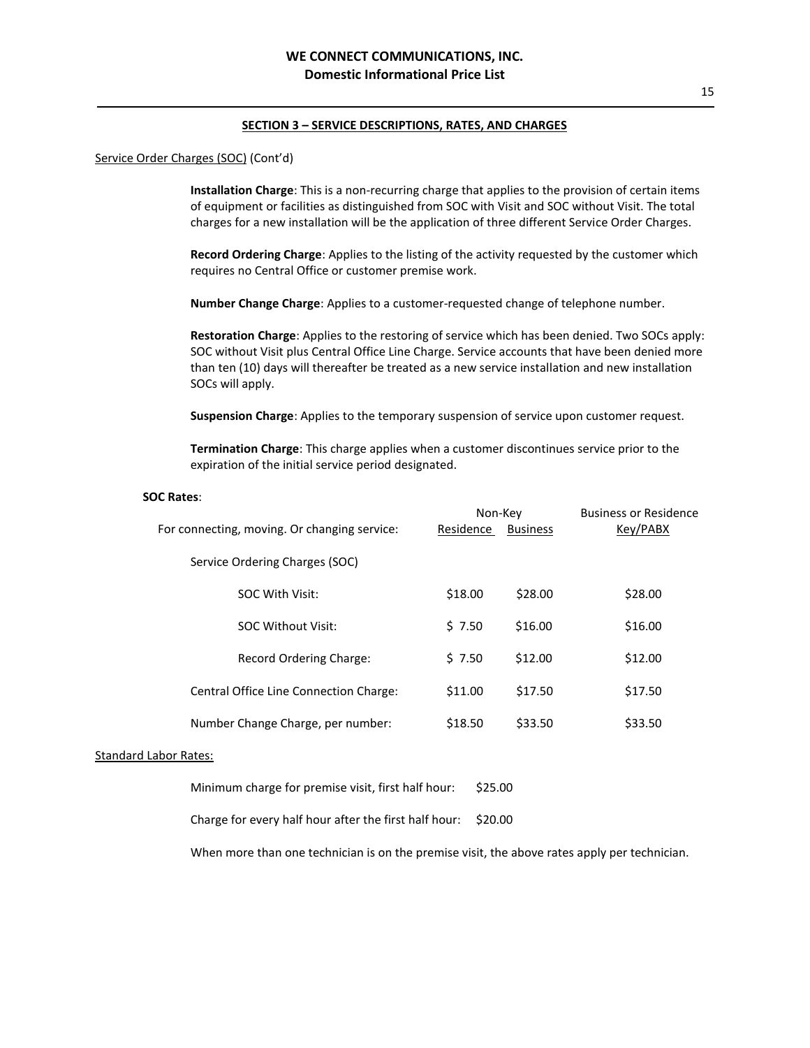#### Service Order Charges (SOC) (Cont'd)

**Installation Charge**: This is a non-recurring charge that applies to the provision of certain items of equipment or facilities as distinguished from SOC with Visit and SOC without Visit. The total charges for a new installation will be the application of three different Service Order Charges.

**Record Ordering Charge**: Applies to the listing of the activity requested by the customer which requires no Central Office or customer premise work.

**Number Change Charge**: Applies to a customer-requested change of telephone number.

**Restoration Charge**: Applies to the restoring of service which has been denied. Two SOCs apply: SOC without Visit plus Central Office Line Charge. Service accounts that have been denied more than ten (10) days will thereafter be treated as a new service installation and new installation SOCs will apply.

**Suspension Charge**: Applies to the temporary suspension of service upon customer request.

**Termination Charge**: This charge applies when a customer discontinues service prior to the expiration of the initial service period designated.

### **SOC Rates**:

|                                              | Non-Key   |                 | <b>Business or Residence</b> |
|----------------------------------------------|-----------|-----------------|------------------------------|
| For connecting, moving. Or changing service: | Residence | <b>Business</b> | Key/PABX                     |
| Service Ordering Charges (SOC)               |           |                 |                              |
| SOC With Visit:                              | \$18.00   | \$28.00         | \$28.00                      |
| <b>SOC Without Visit:</b>                    | \$7.50    | \$16.00         | \$16.00                      |
| Record Ordering Charge:                      | \$7.50    | \$12.00         | \$12.00                      |
| Central Office Line Connection Charge:       | \$11.00   | \$17.50         | \$17.50                      |
| Number Change Charge, per number:            | \$18.50   | \$33.50         | \$33.50                      |
|                                              |           |                 |                              |

# Standard Labor Rates:

Minimum charge for premise visit, first half hour: \$25.00

Charge for every half hour after the first half hour: \$20.00

When more than one technician is on the premise visit, the above rates apply per technician.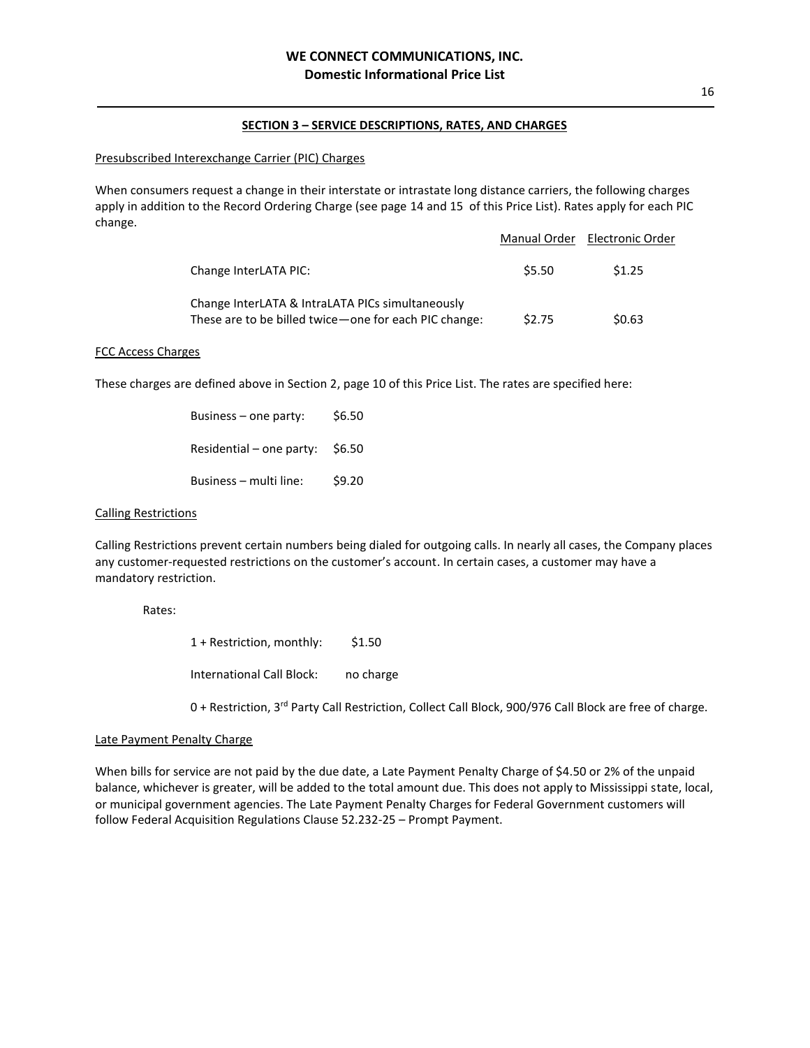### Presubscribed Interexchange Carrier (PIC) Charges

When consumers request a change in their interstate or intrastate long distance carriers, the following charges apply in addition to the Record Ordering Charge (see page 14 and 15 of this Price List). Rates apply for each PIC change.

|                                                                                                             |        | Manual Order Electronic Order |
|-------------------------------------------------------------------------------------------------------------|--------|-------------------------------|
| Change InterLATA PIC:                                                                                       | \$5.50 | \$1.25                        |
| Change InterLATA & IntraLATA PICs simultaneously<br>These are to be billed twice - one for each PIC change: | \$2.75 | \$0.63                        |

#### FCC Access Charges

These charges are defined above in Section 2, page 10 of this Price List. The rates are specified here:

| Business – one party:    | \$6.50 |
|--------------------------|--------|
| Residential – one party: | \$6.50 |
| Business – multi line:   | \$9.20 |

#### Calling Restrictions

Calling Restrictions prevent certain numbers being dialed for outgoing calls. In nearly all cases, the Company places any customer-requested restrictions on the customer's account. In certain cases, a customer may have a mandatory restriction.

#### Rates:

1 + Restriction, monthly: \$1.50

International Call Block: no charge

0 + Restriction, 3<sup>rd</sup> Party Call Restriction, Collect Call Block, 900/976 Call Block are free of charge.

## Late Payment Penalty Charge

When bills for service are not paid by the due date, a Late Payment Penalty Charge of \$4.50 or 2% of the unpaid balance, whichever is greater, will be added to the total amount due. This does not apply to Mississippi state, local, or municipal government agencies. The Late Payment Penalty Charges for Federal Government customers will follow Federal Acquisition Regulations Clause 52.232-25 – Prompt Payment.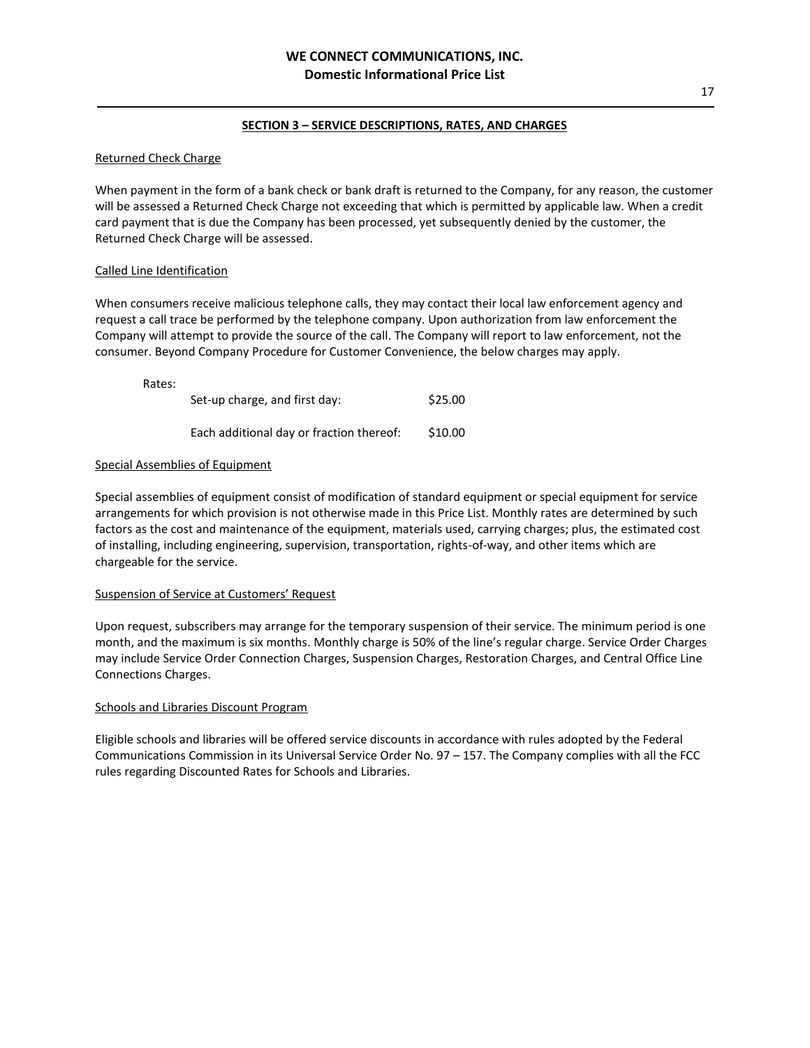# Returned Check Charge

When payment in the form of a bank check or bank draft is returned to the Company, for any reason, the customer will be assessed a Returned Check Charge not exceeding that which is permitted by applicable law. When a credit card payment that is due the Company has been processed, yet subsequently denied by the customer, the Returned Check Charge will be assessed.

# Called Line Identification

When consumers receive malicious telephone calls, they may contact their local law enforcement agency and request a call trace be performed by the telephone company. Upon authorization from law enforcement the Company will attempt to provide the source of the call. The Company will report to law enforcement, not the consumer. Beyond Company Procedure for Customer Convenience, the below charges may apply.

Rates:

| Set-up charge, and first day:            | \$25.00 |
|------------------------------------------|---------|
| Each additional day or fraction thereof: | \$10.00 |

# Special Assemblies of Equipment

Special assemblies of equipment consist of modification of standard equipment or special equipment for service arrangements for which provision is not otherwise made in this Price List. Monthly rates are determined by such factors as the cost and maintenance of the equipment, materials used, carrying charges; plus, the estimated cost of installing, including engineering, supervision, transportation, rights-of-way, and other items which are chargeable for the service.

## Suspension of Service at Customers' Request

Upon request, subscribers may arrange for the temporary suspension of their service. The minimum period is one month, and the maximum is six months. Monthly charge is 50% of the line's regular charge. Service Order Charges may include Service Order Connection Charges, Suspension Charges, Restoration Charges, and Central Office Line Connections Charges.

# Schools and Libraries Discount Program

Eligible schools and libraries will be offered service discounts in accordance with rules adopted by the Federal Communications Commission in its Universal Service Order No. 97 – 157. The Company complies with all the FCC rules regarding Discounted Rates for Schools and Libraries.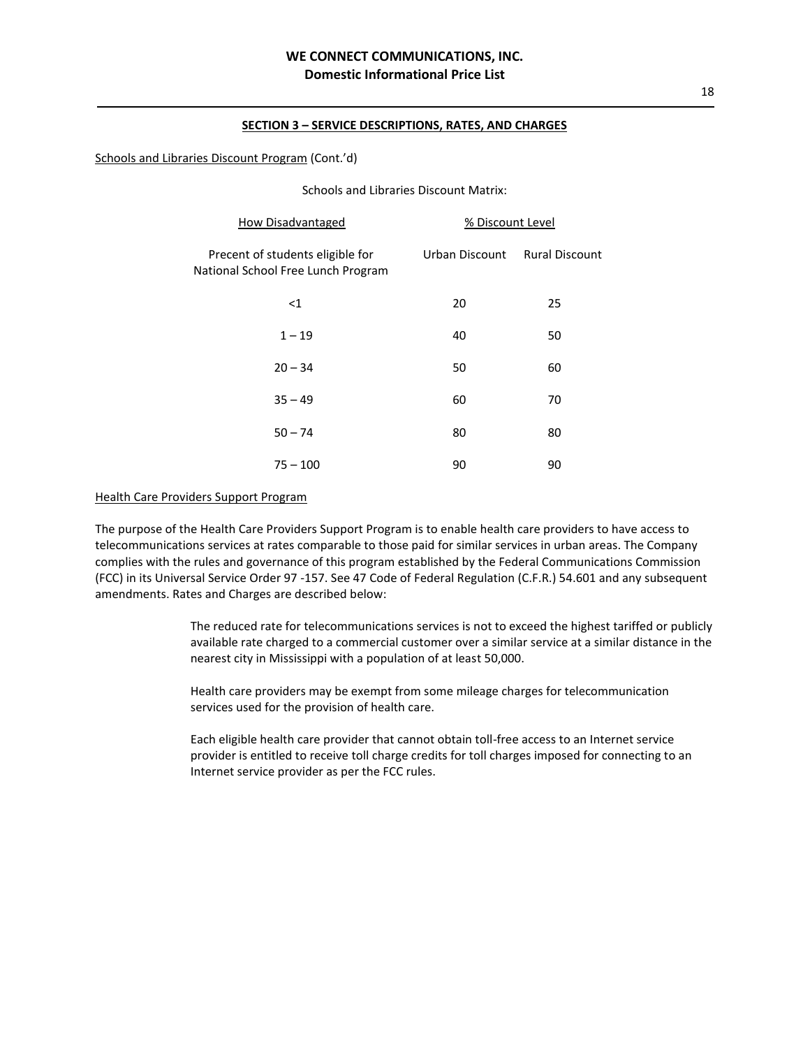### Schools and Libraries Discount Program (Cont.'d)

Schools and Libraries Discount Matrix:

| <b>How Disadvantaged</b>                                               | % Discount Level |                       |
|------------------------------------------------------------------------|------------------|-----------------------|
| Precent of students eligible for<br>National School Free Lunch Program | Urban Discount   | <b>Rural Discount</b> |
| $<$ 1                                                                  | 20               | 25                    |
| $1 - 19$                                                               | 40               | 50                    |
| $20 - 34$                                                              | 50               | 60                    |
| $35 - 49$                                                              | 60               | 70                    |
| $50 - 74$                                                              | 80               | 80                    |
| $75 - 100$                                                             | 90               | 90                    |

### Health Care Providers Support Program

The purpose of the Health Care Providers Support Program is to enable health care providers to have access to telecommunications services at rates comparable to those paid for similar services in urban areas. The Company complies with the rules and governance of this program established by the Federal Communications Commission (FCC) in its Universal Service Order 97 -157. See 47 Code of Federal Regulation (C.F.R.) 54.601 and any subsequent amendments. Rates and Charges are described below:

> The reduced rate for telecommunications services is not to exceed the highest tariffed or publicly available rate charged to a commercial customer over a similar service at a similar distance in the nearest city in Mississippi with a population of at least 50,000.

Health care providers may be exempt from some mileage charges for telecommunication services used for the provision of health care.

Each eligible health care provider that cannot obtain toll-free access to an Internet service provider is entitled to receive toll charge credits for toll charges imposed for connecting to an Internet service provider as per the FCC rules.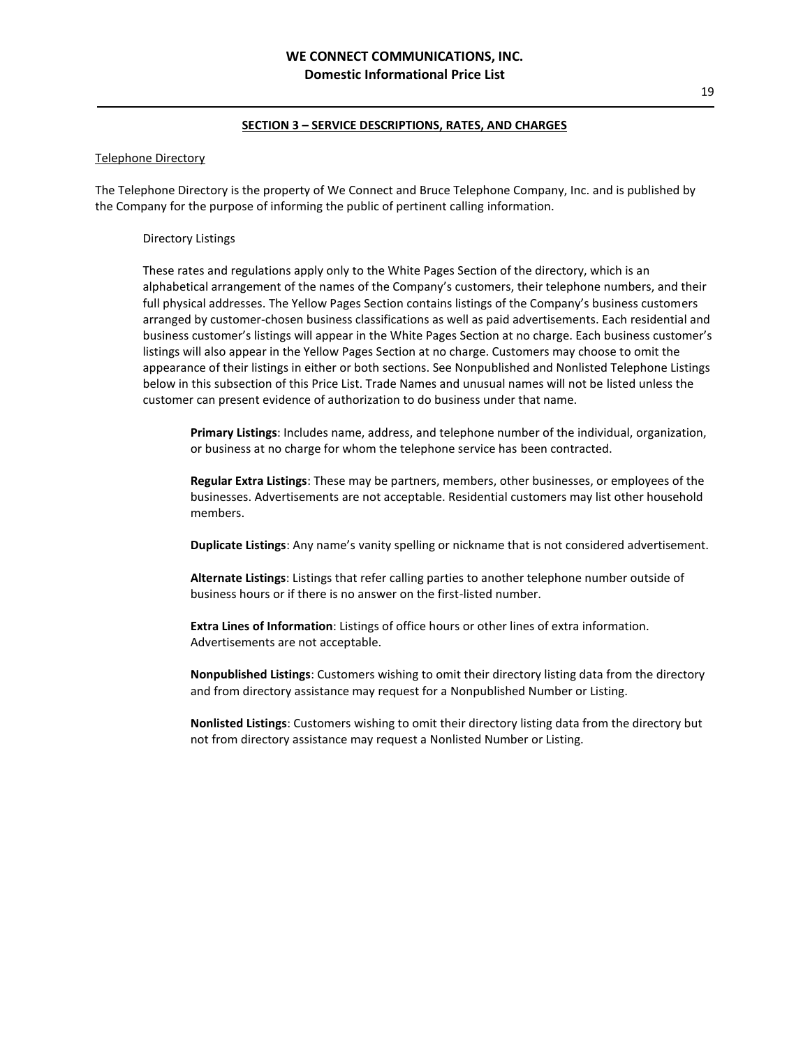#### Telephone Directory

The Telephone Directory is the property of We Connect and Bruce Telephone Company, Inc. and is published by the Company for the purpose of informing the public of pertinent calling information.

### Directory Listings

These rates and regulations apply only to the White Pages Section of the directory, which is an alphabetical arrangement of the names of the Company's customers, their telephone numbers, and their full physical addresses. The Yellow Pages Section contains listings of the Company's business customers arranged by customer-chosen business classifications as well as paid advertisements. Each residential and business customer's listings will appear in the White Pages Section at no charge. Each business customer's listings will also appear in the Yellow Pages Section at no charge. Customers may choose to omit the appearance of their listings in either or both sections. See Nonpublished and Nonlisted Telephone Listings below in this subsection of this Price List. Trade Names and unusual names will not be listed unless the customer can present evidence of authorization to do business under that name.

**Primary Listings**: Includes name, address, and telephone number of the individual, organization, or business at no charge for whom the telephone service has been contracted.

**Regular Extra Listings**: These may be partners, members, other businesses, or employees of the businesses. Advertisements are not acceptable. Residential customers may list other household members.

**Duplicate Listings**: Any name's vanity spelling or nickname that is not considered advertisement.

**Alternate Listings**: Listings that refer calling parties to another telephone number outside of business hours or if there is no answer on the first-listed number.

**Extra Lines of Information**: Listings of office hours or other lines of extra information. Advertisements are not acceptable.

**Nonpublished Listings**: Customers wishing to omit their directory listing data from the directory and from directory assistance may request for a Nonpublished Number or Listing.

**Nonlisted Listings**: Customers wishing to omit their directory listing data from the directory but not from directory assistance may request a Nonlisted Number or Listing.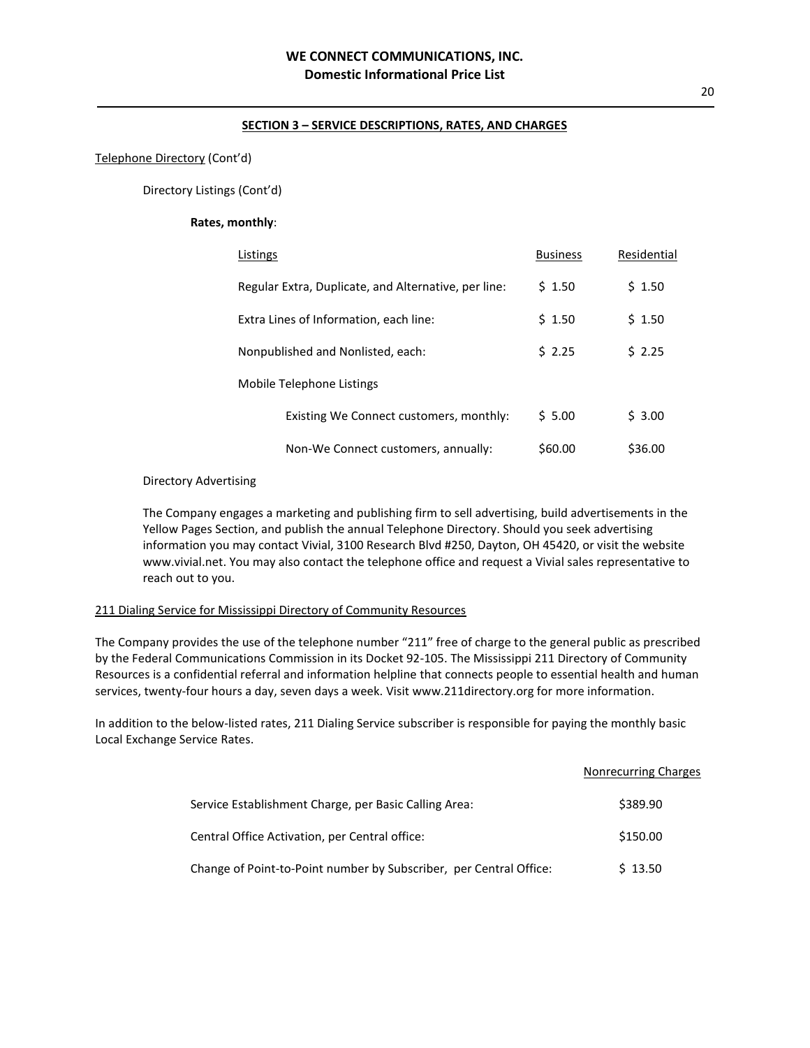#### Telephone Directory (Cont'd)

Directory Listings (Cont'd)

### **Rates, monthly**:

| Listings                                             | <b>Business</b> | Residential |
|------------------------------------------------------|-----------------|-------------|
| Regular Extra, Duplicate, and Alternative, per line: | \$1.50          | \$1.50      |
| Extra Lines of Information, each line:               | \$1.50          | \$1.50      |
| Nonpublished and Nonlisted, each:                    | 52.25           | \$2.25      |
| Mobile Telephone Listings                            |                 |             |
| Existing We Connect customers, monthly:              | \$5.00          | \$3.00      |
| Non-We Connect customers, annually:                  | \$60.00         | \$36.00     |

#### Directory Advertising

The Company engages a marketing and publishing firm to sell advertising, build advertisements in the Yellow Pages Section, and publish the annual Telephone Directory. Should you seek advertising information you may contact Vivial, 3100 Research Blvd #250, Dayton, OH 45420, or visit the website [www.vivial.net.](http://www.vivial.net/) You may also contact the telephone office and request a Vivial sales representative to reach out to you.

# 211 Dialing Service for Mississippi Directory of Community Resources

The Company provides the use of the telephone number "211" free of charge to the general public as prescribed by the Federal Communications Commission in its Docket 92-105. The Mississippi 211 Directory of Community Resources is a confidential referral and information helpline that connects people to essential health and human services, twenty-four hours a day, seven days a week. Visit www.211directory.org for more information.

In addition to the below-listed rates, 211 Dialing Service subscriber is responsible for paying the monthly basic Local Exchange Service Rates.

|                                                                    | Nonrecurring Charges |
|--------------------------------------------------------------------|----------------------|
| Service Establishment Charge, per Basic Calling Area:              | \$389.90             |
| Central Office Activation, per Central office:                     | \$150.00             |
| Change of Point-to-Point number by Subscriber, per Central Office: | \$13.50              |